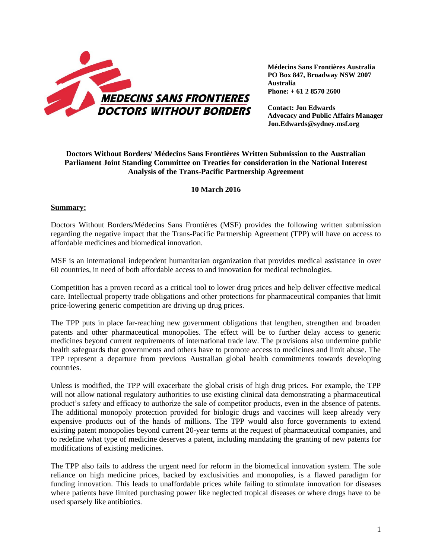

**Médecins Sans Frontières Australia PO Box 847, Broadway NSW 2007 Australia Phone: + 61 2 8570 2600**

**Contact: Jon Edwards Advocacy and Public Affairs Manager Jon.Edwards@sydney.msf.org**

## **Doctors Without Borders/ Médecins Sans Frontières Written Submission to the Australian Parliament Joint Standing Committee on Treaties for consideration in the National Interest Analysis of the Trans-Pacific Partnership Agreement**

## **10 March 2016**

## **Summary:**

Doctors Without Borders/Médecins Sans Frontières (MSF) provides the following written submission regarding the negative impact that the Trans-Pacific Partnership Agreement (TPP) will have on access to affordable medicines and biomedical innovation.

MSF is an international independent humanitarian organization that provides medical assistance in over 60 countries, in need of both affordable access to and innovation for medical technologies.

Competition has a proven record as a critical tool to lower drug prices and help deliver effective medical care. Intellectual property trade obligations and other protections for pharmaceutical companies that limit price-lowering generic competition are driving up drug prices.

The TPP puts in place far-reaching new government obligations that lengthen, strengthen and broaden patents and other pharmaceutical monopolies. The effect will be to further delay access to generic medicines beyond current requirements of international trade law. The provisions also undermine public health safeguards that governments and others have to promote access to medicines and limit abuse. The TPP represent a departure from previous Australian global health commitments towards developing countries.

Unless is modified, the TPP will exacerbate the global crisis of high drug prices. For example, the TPP will not allow national regulatory authorities to use existing clinical data demonstrating a pharmaceutical product's safety and efficacy to authorize the sale of competitor products, even in the absence of patents. The additional monopoly protection provided for biologic drugs and vaccines will keep already very expensive products out of the hands of millions. The TPP would also force governments to extend existing patent monopolies beyond current 20-year terms at the request of pharmaceutical companies, and to redefine what type of medicine deserves a patent, including mandating the granting of new patents for modifications of existing medicines.

The TPP also fails to address the urgent need for reform in the biomedical innovation system. The sole reliance on high medicine prices, backed by exclusivities and monopolies, is a flawed paradigm for funding innovation. This leads to unaffordable prices while failing to stimulate innovation for diseases where patients have limited purchasing power like neglected tropical diseases or where drugs have to be used sparsely like antibiotics.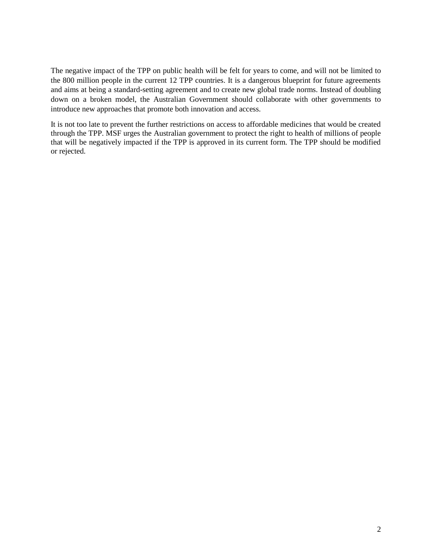The negative impact of the TPP on public health will be felt for years to come, and will not be limited to the 800 million people in the current 12 TPP countries. It is a dangerous blueprint for future agreements and aims at being a standard-setting agreement and to create new global trade norms. Instead of doubling down on a broken model, the Australian Government should collaborate with other governments to introduce new approaches that promote both innovation and access.

It is not too late to prevent the further restrictions on access to affordable medicines that would be created through the TPP. MSF urges the Australian government to protect the right to health of millions of people that will be negatively impacted if the TPP is approved in its current form. The TPP should be modified or rejected.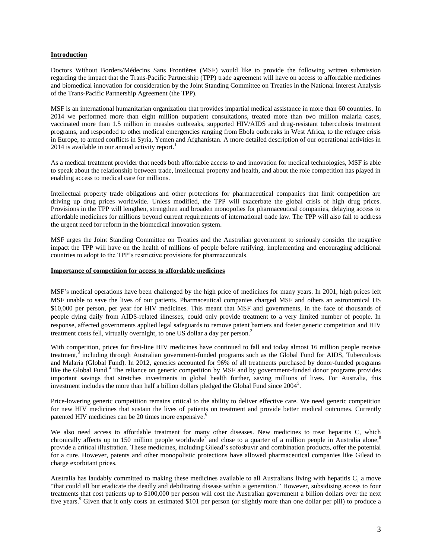## **Introduction**

Doctors Without Borders/Médecins Sans Frontières (MSF) would like to provide the following written submission regarding the impact that the Trans-Pacific Partnership (TPP) trade agreement will have on access to affordable medicines and biomedical innovation for consideration by the Joint Standing Committee on Treaties in the National Interest Analysis of the Trans-Pacific Partnership Agreement (the TPP).

MSF is an international humanitarian organization that provides impartial medical assistance in more than 60 countries. In 2014 we performed more than eight million outpatient consultations, treated more than two million malaria cases, vaccinated more than 1.5 million in measles outbreaks, supported HIV/AIDS and drug-resistant tuberculosis treatment programs, and responded to other medical emergencies ranging from Ebola outbreaks in West Africa, to the refugee crisis in Europe, to armed conflicts in Syria, Yemen and Afghanistan. A more detailed description of our operational activities in 2014 is available in our annual activity report.<sup>1</sup>

As a medical treatment provider that needs both affordable access to and innovation for medical technologies, MSF is able to speak about the relationship between trade, intellectual property and health, and about the role competition has played in enabling access to medical care for millions.

Intellectual property trade obligations and other protections for pharmaceutical companies that limit competition are driving up drug prices worldwide. Unless modified, the TPP will exacerbate the global crisis of high drug prices. Provisions in the TPP will lengthen, strengthen and broaden monopolies for pharmaceutical companies, delaying access to affordable medicines for millions beyond current requirements of international trade law. The TPP will also fail to address the urgent need for reform in the biomedical innovation system.

MSF urges the Joint Standing Committee on Treaties and the Australian government to seriously consider the negative impact the TPP will have on the health of millions of people before ratifying, implementing and encouraging additional countries to adopt to the TPP's restrictive provisions for pharmaceuticals.

#### **Importance of competition for access to affordable medicines**

MSF's medical operations have been challenged by the high price of medicines for many years. In 2001, high prices left MSF unable to save the lives of our patients. Pharmaceutical companies charged MSF and others an astronomical US \$10,000 per person, per year for HIV medicines. This meant that MSF and governments, in the face of thousands of people dying daily from AIDS-related illnesses, could only provide treatment to a very limited number of people. In response, affected governments applied legal safeguards to remove patent barriers and foster generic competition and HIV treatment costs fell, virtually overnight, to one US dollar a day per person.<sup>2</sup>

With competition, prices for first-line HIV medicines have continued to fall and today almost 16 million people receive treatment,<sup>3</sup> including through Australian government-funded programs such as the Global Fund for AIDS, Tuberculosis and Malaria (Global Fund). In 2012, generics accounted for 96% of all treatments purchased by donor-funded programs like the Global Fund.<sup>4</sup> The reliance on generic competition by MSF and by government-funded donor programs provides important savings that stretches investments in global health further, saving millions of lives. For Australia, this investment includes the more than half a billion dollars pledged the Global Fund since 2004<sup>5</sup>.

Price-lowering generic competition remains critical to the ability to deliver effective care. We need generic competition for new HIV medicines that sustain the lives of patients on treatment and provide better medical outcomes. Currently patented HIV medicines can be 20 times more expensive.<sup>6</sup>

We also need access to affordable treatment for many other diseases. New medicines to treat hepatitis C, which chronically affects up to 150 million people worldwide<sup>7</sup> and close to a quarter of a million people in Australia alone,<sup>8</sup> provide a critical illustration. These medicines, including Gilead's sofosbuvir and combination products, offer the potential for a cure. However, patents and other monopolistic protections have allowed pharmaceutical companies like Gilead to charge exorbitant prices.

Australia has laudably committed to making these medicines available to all Australians living with hepatitis C, a move "that could all but eradicate the deadly and debilitating disease within a generation." However, subsidising access to four treatments that cost patients up to \$100,000 per person will cost the Australian government a billion dollars over the next five years.<sup>9</sup> Given that it only costs an estimated \$101 per person (or slightly more than one dollar per pill) to produce a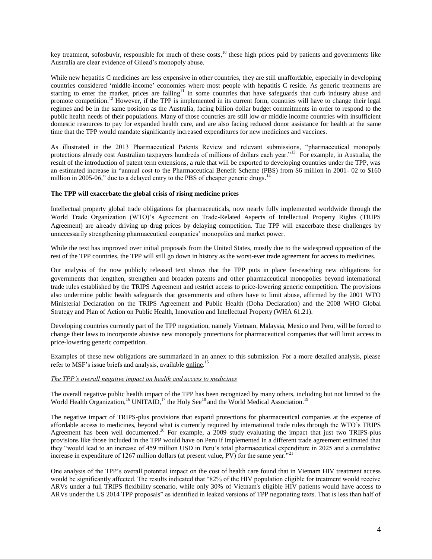key treatment, sofosbuvir, responsible for much of these costs, $^{10}$  these high prices paid by patients and governments like Australia are clear evidence of Gilead's monopoly abuse.

While new hepatitis C medicines are less expensive in other countries, they are still unaffordable, especially in developing countries considered 'middle-income' economies where most people with hepatitis C reside. As generic treatments are starting to enter the market, prices are falling<sup>11</sup> in some countries that have safeguards that curb industry abuse and promote competition.<sup>12</sup> However, if the TPP is implemented in its current form, countries will have to change their legal regimes and be in the same position as the Australia, facing billion dollar budget commitments in order to respond to the public health needs of their populations. Many of those countries are still low or middle income countries with insufficient domestic resources to pay for expanded health care, and are also facing reduced donor assistance for health at the same time that the TPP would mandate significantly increased expenditures for new medicines and vaccines.

As illustrated in the 2013 Pharmaceutical Patents Review and relevant submissions, "pharmaceutical monopoly protections already cost Australian taxpayers hundreds of millions of dollars each year."<sup>13</sup> For example, in Australia, the result of the introduction of patent term extensions, a rule that will be exported to developing countries under the TPP, was an estimated increase in "annual cost to the Pharmaceutical Benefit Scheme (PBS) from \$6 million in 2001- 02 to \$160 million in 2005-06," due to a delayed entry to the PBS of cheaper generic drugs.<sup>14</sup>

## **The TPP will exacerbate the global crisis of rising medicine prices**

Intellectual property global trade obligations for pharmaceuticals, now nearly fully implemented worldwide through the World Trade Organization (WTO)'s Agreement on Trade-Related Aspects of Intellectual Property Rights (TRIPS Agreement) are already driving up drug prices by delaying competition. The TPP will exacerbate these challenges by unnecessarily strengthening pharmaceutical companies' monopolies and market power.

While the text has improved over initial proposals from the United States, mostly due to the widespread opposition of the rest of the TPP countries, the TPP will still go down in history as the worst-ever trade agreement for access to medicines.

Our analysis of the now publicly released text shows that the TPP puts in place far-reaching new obligations for governments that lengthen, strengthen and broaden patents and other pharmaceutical monopolies beyond international trade rules established by the TRIPS Agreement and restrict access to price-lowering generic competition. The provisions also undermine public health safeguards that governments and others have to limit abuse, affirmed by the 2001 WTO Ministerial Declaration on the TRIPS Agreement and Public Health (Doha Declaration) and the 2008 WHO Global Strategy and Plan of Action on Public Health, Innovation and Intellectual Property (WHA 61.21).

Developing countries currently part of the TPP negotiation, namely Vietnam, Malaysia, Mexico and Peru, will be forced to change their laws to incorporate abusive new monopoly protections for pharmaceutical companies that will limit access to price-lowering generic competition.

Examples of these new obligations are summarized in an annex to this submission. For a more detailed analysis, please refer to MSF's issue briefs and analysis, available [online.](http://www.msfaccess.org/tpp)<sup>15</sup>

## *The TPP's overall negative impact on health and access to medicines*

The overall negative public health impact of the TPP has been recognized by many others, including but not limited to the World Health Organization,<sup>16</sup> UNITAID,<sup>17</sup> the Holy See<sup>18</sup> and the World Medical Association.<sup>19</sup>

The negative impact of TRIPS-plus provisions that expand protections for pharmaceutical companies at the expense of affordable access to medicines, beyond what is currently required by international trade rules through the WTO's TRIPS Agreement has been well documented.<sup>20</sup> For example, a 2009 study evaluating the impact that just two TRIPS-plus Agreement has been well documented.<sup>20</sup> provisions like those included in the TPP would have on Peru if implemented in a different trade agreement estimated that they "would lead to an increase of 459 million USD in Peru's total pharmaceutical expenditure in 2025 and a cumulative increase in expenditure of 1267 million dollars (at present value, PV) for the same year.<sup>322</sup>

One analysis of the TPP's overall potential impact on the cost of health care found that in Vietnam HIV treatment access would be significantly affected. The results indicated that "82% of the HIV population eligible for treatment would receive ARVs under a full TRIPS flexibility scenario, while only 30% of Vietnam's eligible HIV patients would have access to ARVs under the US 2014 TPP proposals" as identified in leaked versions of TPP negotiating texts. That is less than half of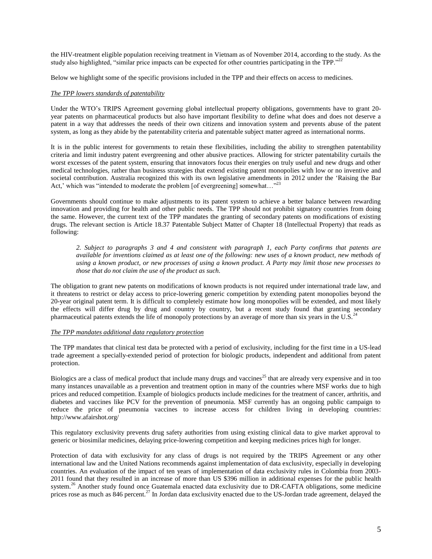the HIV-treatment eligible population receiving treatment in Vietnam as of November 2014, according to the study. As the study also highlighted, "similar price impacts can be expected for other countries participating in the TPP."<sup>22</sup>

Below we highlight some of the specific provisions included in the TPP and their effects on access to medicines.

#### *The TPP lowers standards of patentability*

Under the WTO's TRIPS Agreement governing global intellectual property obligations, governments have to grant 20 year patents on pharmaceutical products but also have important flexibility to define what does and does not deserve a patent in a way that addresses the needs of their own citizens and innovation system and prevents abuse of the patent system, as long as they abide by the patentability criteria and patentable subject matter agreed as international norms.

It is in the public interest for governments to retain these flexibilities, including the ability to strengthen patentability criteria and limit industry patent evergreening and other abusive practices. Allowing for stricter patentability curtails the worst excesses of the patent system, ensuring that innovators focus their energies on truly useful and new drugs and other medical technologies, rather than business strategies that extend existing patent monopolies with low or no inventive and societal contribution. Australia recognized this with its own legislative amendments in 2012 under the 'Raising the Bar Act,' which was "intended to moderate the problem [of evergreening] somewhat..."<sup>23</sup>

Governments should continue to make adjustments to its patent system to achieve a better balance between rewarding innovation and providing for health and other public needs. The TPP should not prohibit signatory countries from doing the same. However, the current text of the TPP mandates the granting of secondary patents on modifications of existing drugs. The relevant section is Article 18.37 Patentable Subject Matter of Chapter 18 (Intellectual Property) that reads as following:

*2. Subject to paragraphs 3 and 4 and consistent with paragraph 1, each Party confirms that patents are available for inventions claimed as at least one of the following: new uses of a known product, new methods of using a known product, or new processes of using a known product. A Party may limit those new processes to those that do not claim the use of the product as such.*

The obligation to grant new patents on modifications of known products is not required under international trade law, and it threatens to restrict or delay access to price-lowering generic competition by extending patent monopolies beyond the 20-year original patent term. It is difficult to completely estimate how long monopolies will be extended, and most likely the effects will differ drug by drug and country by country, but a recent study found that granting secondary pharmaceutical patents extends the life of monopoly protections by an average of more than six years in the U.S.<sup>24</sup>

## *The TPP mandates additional data regulatory protection*

The TPP mandates that clinical test data be protected with a period of exclusivity, including for the first time in a US-lead trade agreement a specially-extended period of protection for biologic products, independent and additional from patent protection.

Biologics are a class of medical product that include many drugs and vaccines<sup>25</sup> that are already very expensive and in too many instances unavailable as a prevention and treatment option in many of the countries where MSF works due to high prices and reduced competition. Example of biologics products include medicines for the treatment of cancer, arthritis, and diabetes and vaccines like PCV for the prevention of pneumonia. MSF currently has an ongoing public campaign to reduce the price of pneumonia vaccines to increase access for children living in developing countries: <http://www.afairshot.org/>

This regulatory exclusivity prevents drug safety authorities from using existing clinical data to give market approval to generic or biosimilar medicines, delaying price-lowering competition and keeping medicines prices high for longer.

Protection of data with exclusivity for any class of drugs is not required by the TRIPS Agreement or any other international law and the United Nations recommends against implementation of data exclusivity, especially in developing countries. An evaluation of the impact of ten years of implementation of data exclusivity rules in Colombia from 2003- 2011 found that they resulted in an increase of more than US \$396 million in additional expenses for the public health system.<sup>26</sup> Another study found once Guatemala enacted data exclusivity due to DR-CAFTA obligations, some medicine prices rose as much as 846 percent.<sup>27</sup> In Jordan data exclusivity enacted due to the US-Jordan trade agreement, delayed the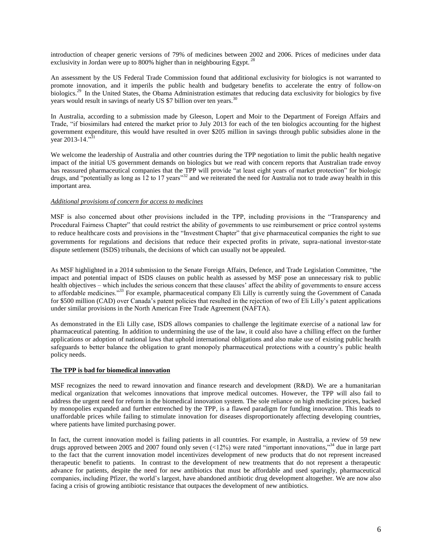introduction of cheaper generic versions of 79% of medicines between 2002 and 2006. Prices of medicines under data exclusivity in Jordan were up to 800% higher than in neighbouring Egypt.<sup>28</sup>

An assessment by the US Federal Trade Commission found that additional exclusivity for biologics is not warranted to promote innovation, and it imperils the public health and budgetary benefits to accelerate the entry of follow-on biologics.<sup>29</sup> In the United States, the Obama Administration estimates that reducing data exclusivity for biologics by five years would result in savings of nearly US \$7 billion over ten years.<sup>30</sup>

In Australia, according to a submission made by Gleeson, Lopert and Moir to the Department of Foreign Affairs and Trade, "if biosimilars had entered the market prior to July 2013 for each of the ten biologics accounting for the highest government expenditure, this would have resulted in over \$205 million in savings through public subsidies alone in the year 2013-14."<sup>31</sup>

We welcome the leadership of Australia and other countries during the TPP negotiation to limit the public health negative impact of the initial US government demands on biologics but we read with concern reports that Australian trade envoy has reassured pharmaceutical companies that the TPP will provide "at least eight years of market protection" for biologic drugs, and "potentially as long as 12 to 17 years"<sup>32</sup> and we reiterated the need for Australia not to trade away health in this important area.

## *Additional provisions of concern for access to medicines*

MSF is also concerned about other provisions included in the TPP, including provisions in the "Transparency and Procedural Fairness Chapter" that could restrict the ability of governments to use reimbursement or price control systems to reduce healthcare costs and provisions in the "Investment Chapter" that give pharmaceutical companies the right to sue governments for regulations and decisions that reduce their expected profits in private, supra-national investor-state dispute settlement (ISDS) tribunals, the decisions of which can usually not be appealed.

As MSF highlighted in a 2014 submission to the Senate Foreign Affairs, Defence, and Trade Legislation Committee, "the impact and potential impact of ISDS clauses on public health as assessed by MSF pose an unnecessary risk to public health objectives – which includes the serious concern that these clauses' affect the ability of governments to ensure access to affordable medicines."<sup>33</sup> For example, pharmaceutical company Eli Lilly is currently suing the Government of Canada for \$500 million (CAD) over Canada's patent policies that resulted in the rejection of two of Eli Lilly's patent applications under similar provisions in the North American Free Trade Agreement (NAFTA).

As demonstrated in the Eli Lilly case, ISDS allows companies to challenge the legitimate exercise of a national law for pharmaceutical patenting. In addition to undermining the use of the law, it could also have a chilling effect on the further applications or adoption of national laws that uphold international obligations and also make use of existing public health safeguards to better balance the obligation to grant monopoly pharmaceutical protections with a country's public health policy needs.

## **The TPP is bad for biomedical innovation**

MSF recognizes the need to reward innovation and finance research and development (R&D). We are a humanitarian medical organization that welcomes innovations that improve medical outcomes. However, the TPP will also fail to address the urgent need for reform in the biomedical innovation system. The sole reliance on high medicine prices, backed by monopolies expanded and further entrenched by the TPP, is a flawed paradigm for funding innovation. This leads to unaffordable prices while failing to stimulate innovation for diseases disproportionately affecting developing countries, where patients have limited purchasing power.

In fact, the current innovation model is failing patients in all countries. For example, in Australia, a review of 59 new drugs approved between 2005 and 2007 found only seven (<12%) were rated "important innovations,"<sup>34</sup> due in large part to the fact that the current innovation model incentivizes development of new products that do not represent increased therapeutic benefit to patients. In contrast to the development of new treatments that do not represent a therapeutic advance for patients, despite the need for new antibiotics that must be affordable and used sparingly, pharmaceutical companies, including Pfizer, the world's largest, have abandoned antibiotic drug development altogether. We are now also facing a crisis of growing antibiotic resistance that outpaces the development of new antibiotics.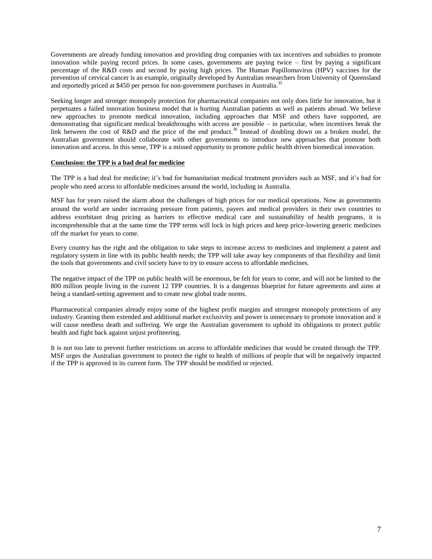Governments are already funding innovation and providing drug companies with tax incentives and subsidies to promote innovation while paying record prices. In some cases, governments are paying twice – first by paying a significant percentage of the R&D costs and second by paying high prices. The Human Papillomavirus (HPV) vaccines for the prevention of cervical cancer is an example, originally developed by Australian researchers from University of Queensland and reportedly priced at \$450 per person for non-government purchases in Australia.<sup>35</sup>

Seeking longer and stronger monopoly protection for pharmaceutical companies not only does little for innovation, but it perpetuates a failed innovation business model that is hurting Australian patients as well as patients abroad. We believe new approaches to promote medical innovation, including approaches that MSF and others have supported, are demonstrating that significant medical breakthroughs with access are possible – in particular, when incentives break the link between the cost of R&D and the price of the end product.<sup>36</sup> Instead of doubling down on a broken model, the Australian government should collaborate with other governments to introduce new approaches that promote both innovation and access. In this sense, TPP is a missed opportunity to promote public health driven biomedical innovation.

## **Conclusion: the TPP is a bad deal for medicine**

The TPP is a bad deal for medicine; it's bad for humanitarian medical treatment providers such as MSF, and it's bad for people who need access to affordable medicines around the world, including in Australia.

MSF has for years raised the alarm about the challenges of high prices for our medical operations. Now as governments around the world are under increasing pressure from patients, payers and medical providers in their own countries to address exorbitant drug pricing as barriers to effective medical care and sustainability of health programs, it is incomprehensible that at the same time the TPP terms will lock in high prices and keep price-lowering generic medicines off the market for years to come.

Every country has the right and the obligation to take steps to increase access to medicines and implement a patent and regulatory system in line with its public health needs; the TPP will take away key components of that flexibility and limit the tools that governments and civil society have to try to ensure access to affordable medicines.

The negative impact of the TPP on public health will be enormous, be felt for years to come, and will not be limited to the 800 million people living in the current 12 TPP countries. It is a dangerous blueprint for future agreements and aims at being a standard-setting agreement and to create new global trade norms.

Pharmaceutical companies already enjoy some of the highest profit margins and strongest monopoly protections of any industry. Granting them extended and additional market exclusivity and power is unnecessary to promote innovation and it will cause needless death and suffering. We urge the Australian government to uphold its obligations to protect public health and fight back against unjust profiteering.

It is not too late to prevent further restrictions on access to affordable medicines that would be created through the TPP. MSF urges the Australian government to protect the right to health of millions of people that will be negatively impacted if the TPP is approved in its current form. The TPP should be modified or rejected.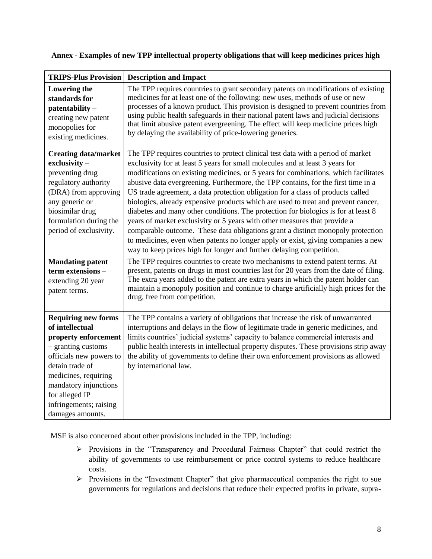| <b>TRIPS-Plus Provision</b>                                                                                                                                                                                                                                | <b>Description and Impact</b>                                                                                                                                                                                                                                                                                                                                                                                                                                                                                                                                                                                                                                                                                                                                                                                                                                                                                                           |
|------------------------------------------------------------------------------------------------------------------------------------------------------------------------------------------------------------------------------------------------------------|-----------------------------------------------------------------------------------------------------------------------------------------------------------------------------------------------------------------------------------------------------------------------------------------------------------------------------------------------------------------------------------------------------------------------------------------------------------------------------------------------------------------------------------------------------------------------------------------------------------------------------------------------------------------------------------------------------------------------------------------------------------------------------------------------------------------------------------------------------------------------------------------------------------------------------------------|
| Lowering the<br>standards for<br>$\mathbf{patternability} -$<br>creating new patent<br>monopolies for<br>existing medicines.                                                                                                                               | The TPP requires countries to grant secondary patents on modifications of existing<br>medicines for at least one of the following: new uses, methods of use or new<br>processes of a known product. This provision is designed to prevent countries from<br>using public health safeguards in their national patent laws and judicial decisions<br>that limit abusive patent evergreening. The effect will keep medicine prices high<br>by delaying the availability of price-lowering generics.                                                                                                                                                                                                                                                                                                                                                                                                                                        |
| <b>Creating data/market</b><br>exclusivity-<br>preventing drug<br>regulatory authority<br>(DRA) from approving<br>any generic or<br>biosimilar drug<br>formulation during the<br>period of exclusivity.                                                    | The TPP requires countries to protect clinical test data with a period of market<br>exclusivity for at least 5 years for small molecules and at least 3 years for<br>modifications on existing medicines, or 5 years for combinations, which facilitates<br>abusive data evergreening. Furthermore, the TPP contains, for the first time in a<br>US trade agreement, a data protection obligation for a class of products called<br>biologics, already expensive products which are used to treat and prevent cancer,<br>diabetes and many other conditions. The protection for biologics is for at least 8<br>years of market exclusivity or 5 years with other measures that provide a<br>comparable outcome. These data obligations grant a distinct monopoly protection<br>to medicines, even when patents no longer apply or exist, giving companies a new<br>way to keep prices high for longer and further delaying competition. |
| <b>Mandating patent</b><br>term extensions -<br>extending 20 year<br>patent terms.                                                                                                                                                                         | The TPP requires countries to create two mechanisms to extend patent terms. At<br>present, patents on drugs in most countries last for 20 years from the date of filing.<br>The extra years added to the patent are extra years in which the patent holder can<br>maintain a monopoly position and continue to charge artificially high prices for the<br>drug, free from competition.                                                                                                                                                                                                                                                                                                                                                                                                                                                                                                                                                  |
| <b>Requiring new forms</b><br>of intellectual<br>property enforcement<br>- granting customs<br>officials new powers to<br>detain trade of<br>medicines, requiring<br>mandatory injunctions<br>for alleged IP<br>infringements; raising<br>damages amounts. | The TPP contains a variety of obligations that increase the risk of unwarranted<br>interruptions and delays in the flow of legitimate trade in generic medicines, and<br>limits countries' judicial systems' capacity to balance commercial interests and<br>public health interests in intellectual property disputes. These provisions strip away<br>the ability of governments to define their own enforcement provisions as allowed<br>by international law.                                                                                                                                                                                                                                                                                                                                                                                                                                                                        |

# **Annex - Examples of new TPP intellectual property obligations that will keep medicines prices high**

MSF is also concerned about other provisions included in the TPP, including:

- Provisions in the "Transparency and Procedural Fairness Chapter" that could restrict the ability of governments to use reimbursement or price control systems to reduce healthcare costs.
- Provisions in the "Investment Chapter" that give pharmaceutical companies the right to sue governments for regulations and decisions that reduce their expected profits in private, supra-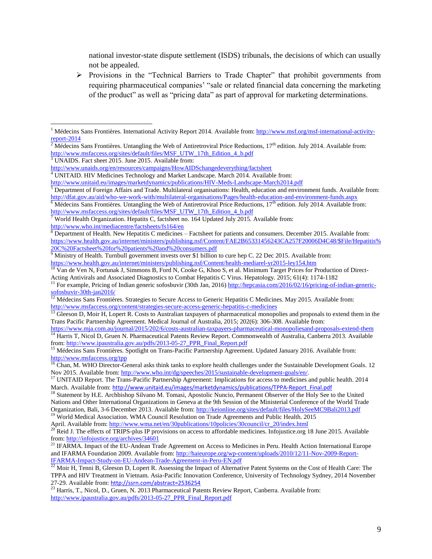national investor-state dispute settlement (ISDS) tribunals, the decisions of which can usually not be appealed.

 $\triangleright$  Provisions in the "Technical Barriers to Trade Chapter" that prohibit governments from requiring pharmaceutical companies' "sale or related financial data concerning the marketing of the product" as well as "pricing data" as part of approval for marketing determinations.

<sup>3</sup> UNAIDS. Fact sheet 2015. June 2015. Available from:

 $\overline{\phantom{a}}$ 

<sup>&</sup>lt;sup>1</sup> Médecins Sans Frontières. International Activity Report 2014. Available from[: http://www.msf.org/msf-international-activity](http://www.msf.org/msf-international-activity-report-2014)[report-2014](http://www.msf.org/msf-international-activity-report-2014)

<sup>&</sup>lt;sup>2</sup> Médecins Sans Frontières. Untangling the Web of Antiretroviral Price Reductions,  $17<sup>th</sup>$  edition. July 2014. Available from: [http://www.msfaccess.org/sites/default/files/MSF\\_UTW\\_17th\\_Edition\\_4\\_b.pdf](http://www.msfaccess.org/sites/default/files/MSF_UTW_17th_Edition_4_b.pdf)

<http://www.unaids.org/en/resources/campaigns/HowAIDSchangedeverything/factsheet>

<sup>&</sup>lt;sup>4</sup> UNITAID. HIV Medicines Technology and Market Landscape. March 2014. Available from:

<http://www.unitaid.eu/images/marketdynamics/publications/HIV-Meds-Landscape-March2014.pdf>

 $5$  Department of Foreign Affairs and Trade. Multilateral organisations: Health, education and environment funds. Available from: <http://dfat.gov.au/aid/who-we-work-with/multilateral-organisations/Pages/health-education-and-environment-funds.aspx>

 $6$  Médecins Sans Frontières. Untangling the Web of Antiretroviral Price Reductions,  $17<sup>th</sup>$  edition. July 2014. Available from: [http://www.msfaccess.org/sites/default/files/MSF\\_UTW\\_17th\\_Edition\\_4\\_b.pdf](http://www.msfaccess.org/sites/default/files/MSF_UTW_17th_Edition_4_b.pdf)

 $7$  World Health Organization. Hepatits C, factsheet no. 164 Updated July 2015. Available from: <http://www.who.int/mediacentre/factsheets/fs164/en>

 $8$  Department of Health. New Hepatitis C medicines – Factsheet for patients and consumers. December 2015. Available from: [https://www.health.gov.au/internet/ministers/publishing.nsf/Content/FAE2B65331456243CA257F20006D4C48/\\$File/Hepatitis%](https://www.health.gov.au/internet/ministers/publishing.nsf/Content/FAE2B65331456243CA257F20006D4C48/$File/Hepatitis%20C%20Factsheet%20for%20patients%20and%20consumers.pdf) [20C%20Factsheet%20for%20patients%20and%20consumers.pdf](https://www.health.gov.au/internet/ministers/publishing.nsf/Content/FAE2B65331456243CA257F20006D4C48/$File/Hepatitis%20C%20Factsheet%20for%20patients%20and%20consumers.pdf)

<sup>&</sup>lt;sup>9</sup> Ministry of Health. Turnbull government invests over \$1 billion to cure hep C. 22 Dec 2015. Available from: <https://www.health.gov.au/internet/ministers/publishing.nsf/Content/health-mediarel-yr2015-ley154.htm>

<sup>&</sup>lt;sup>10</sup> Van de Ven N, Fortunak J, Simmons B, Ford N, Cooke G, Khoo S, et al. Minimum Target Prices for Production of Direct-Acting Antivirals and Associated Diagnostics to Combat Hepatitis C Virus. Hepatology. 2015; 61(4): 1174-1182

<sup>&</sup>lt;sup>11</sup> For example, Pricing of Indian generic sofosbuvir (30th Jan, 2016[\) http://hepcasia.com/2016/02/16/pricing-of-indian-generic](http://hepcasia.com/2016/02/16/pricing-of-indian-generic-sofosbuvir-30th-jan2016/)[sofosbuvir-30th-jan2016/](http://hepcasia.com/2016/02/16/pricing-of-indian-generic-sofosbuvir-30th-jan2016/)

<sup>&</sup>lt;sup>12</sup> Médecins Sans Frontières. Strategies to Secure Access to Generic Hepatitis C Medicines. May 2015. Available from: <http://www.msfaccess.org/content/strategies-secure-access-generic-hepatitis-c-medicines>

 $13$  Gleeson D, Moir H, Lopert R. Costs to Australian taxpayers of pharmaceutical monopolies and proposals to extend them in the Trans Pacific Partnership Agreement. Medical Journal of Australia, 2015; 202(6): 306-308. Available from:

<https://www.mja.com.au/journal/2015/202/6/costs-australian-taxpayers-pharmaceutical-monopoliesand-proposals-extend-them> <sup>14</sup> Harris T, Nicol D, Gruen N. Pharmaceutical Patents Review Report. Commonwealth of Australia, Canberra 2013. Available from: [http://www.ipaustralia.gov.au/pdfs/2013-05-27\\_PPR\\_Final\\_Report.pdf](http://www.ipaustralia.gov.au/pdfs/2013-05-27_PPR_Final_Report.pdf)

<sup>&</sup>lt;sup>15</sup> Médecins Sans Frontières. Spotlight on Trans-Pacific Partnership Agreement. Updated January 2016. Available from: <http://www.msfaccess.org/tpp>

<sup>&</sup>lt;sup>16</sup> Chan, M. WHO Director-General asks think tanks to explore health challenges under the Sustainable Development Goals. 12 Nov 2015. Available from[: http://www.who.int/dg/speeches/2015/sustainable-development-goals/en/.](http://www.who.int/dg/speeches/2015/sustainable-development-goals/en/)

<sup>&</sup>lt;sup>17</sup> UNITAID Report. The Trans-Pacific Partnership Agreement: Implications for access to medicines and public health. 2014 March. Available from: [http://www.unitaid.eu/images/marketdynamics/publications/TPPA-Report\\_Final.pdf](http://www.unitaid.eu/images/marketdynamics/publications/TPPA-Report_Final.pdf)

<sup>&</sup>lt;sup>18</sup> Statement by H.E. Archbishop Silvano M. Tomasi, Apostolic Nuncio, Permanent Observer of the Holy See to the United Nations and Other International Organizations in Geneva at the 9th Session of the Ministerial Conference of the World Trade Organization, Bali, 3-6 December 2013. Available from[: http://keionline.org/sites/default/files/HolySeeMC9Bali2013.pdf](http://keionline.org/sites/default/files/HolySeeMC9Bali2013.pdf) <sup>19</sup> World Medical Association. WMA Council Resolution on Trade Agreements and Public Health. 2015

April. Available from: [http://www.wma.net/en/30publications/10policies/30council/cr\\_20/index.html](http://www.wma.net/en/30publications/10policies/30council/cr_20/index.html)

<sup>&</sup>lt;sup>20</sup> Reid J. The effects of TRIPS-plus IP provisions on access to affordable medicines. Infojustice.org 18 June 2015. Available from:  $\frac{http://infojustice.org/archives/34601}{http://infojustice.org/archives/34601}$ 

<sup>21</sup> IFARMA. Impact of the EU-Andean Trade Agreement on Access to Medicines in Peru. Health Action International Europe and IFARMA Foundation 2009. Available from[: http://haieurope.org/wp-content/uploads/2010/12/11-Nov-2009-Report-](http://haieurope.org/wp-content/uploads/2010/12/11-Nov-2009-Report-IFARMA-Impact-Study-on-EU-Andean-Trade-Agreement-in-Peru-EN.pdf)[IFARMA-Impact-Study-on-EU-Andean-Trade-Agreement-in-Peru-EN.pdf](http://haieurope.org/wp-content/uploads/2010/12/11-Nov-2009-Report-IFARMA-Impact-Study-on-EU-Andean-Trade-Agreement-in-Peru-EN.pdf)

 $^{22}$  Moir H, Tenni B, Gleeson D, Lopert R. Assessing the Impact of Alternative Patent Systems on the Cost of Health Care: The TPPA and HIV Treatment in Vietnam. Asia-Pacific Innovation Conference, University of Technology Sydney, 2014 November 27-29. Available from: <http://ssrn.com/abstract=2536254>

<sup>&</sup>lt;sup>23</sup> Harris, T., Nicol, D., Gruen, N. 2013 Pharmaceutical Patents Review Report, Canberra. Available from: [http://www.ipaustralia.gov.au/pdfs/2013-05-27\\_PPR\\_Final\\_Report.pdf](http://www.ipaustralia.gov.au/pdfs/2013-05-27_PPR_Final_Report.pdf)